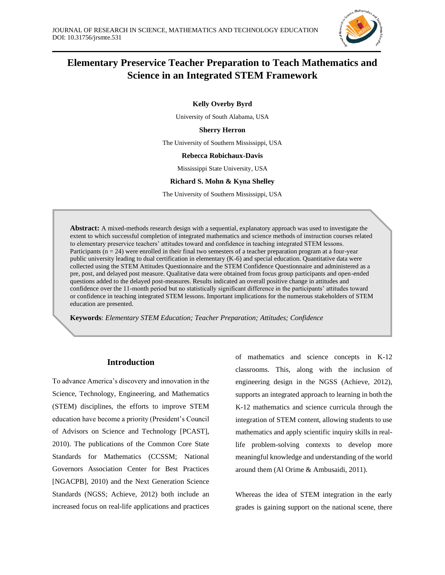

# **Elementary Preservice Teacher Preparation to Teach Mathematics and Science in an Integrated STEM Framework**

**Kelly Overby Byrd**

University of South Alabama, USA

**Sherry Herron**

The University of Southern Mississippi, USA

## **Rebecca Robichaux-Davis**

Mississippi State University, USA

## **Richard S. Mohn & Kyna Shelley**

The University of Southern Mississippi, USA

**Abstract:** A mixed-methods research design with a sequential, explanatory approach was used to investigate the extent to which successful completion of integrated mathematics and science methods of instruction courses related to elementary preservice teachers' attitudes toward and confidence in teaching integrated STEM lessons. Participants  $(n = 24)$  were enrolled in their final two semesters of a teacher preparation program at a four-year public university leading to dual certification in elementary (K-6) and special education. Quantitative data were collected using the STEM Attitudes Questionnaire and the STEM Confidence Questionnaire and administered as a pre, post, and delayed post measure. Qualitative data were obtained from focus group participants and open-ended questions added to the delayed post-measures. Results indicated an overall positive change in attitudes and confidence over the 11-month period but no statistically significant difference in the participants' attitudes toward or confidence in teaching integrated STEM lessons. Important implications for the numerous stakeholders of STEM education are presented.

**Keywords**: *Elementary STEM Education; Teacher Preparation; Attitudes; Confidence*

## **Introduction**

*. (3 to 6 keywords)*

To advance America's discovery and innovation in the Science, Technology, Engineering, and Mathematics (STEM) disciplines, the efforts to improve STEM education have become a priority (President's Council of Advisors on Science and Technology [PCAST], 2010). The publications of the Common Core State Standards for Mathematics (CCSSM; National Governors Association Center for Best Practices [NGACPB], 2010) and the Next Generation Science Standards (NGSS; Achieve, 2012) both include an increased focus on real-life applications and practices of mathematics and science concepts in K-12 classrooms. This, along with the inclusion of engineering design in the NGSS (Achieve, 2012), supports an integrated approach to learning in both the K-12 mathematics and science curricula through the integration of STEM content, allowing students to use mathematics and apply scientific inquiry skills in reallife problem-solving contexts to develop more meaningful knowledge and understanding of the world around them (Al Orime & Ambusaidi, 2011).

Whereas the idea of STEM integration in the early grades is gaining support on the national scene, there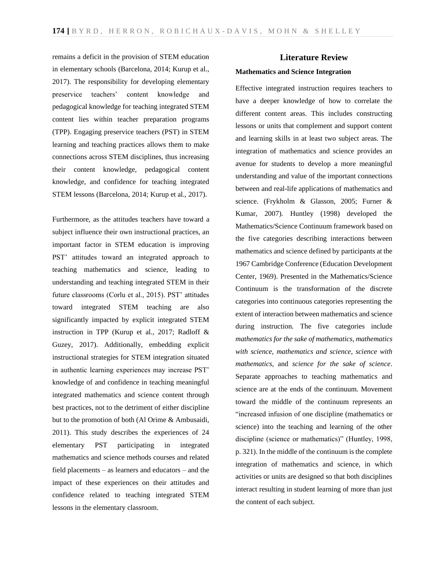remains a deficit in the provision of STEM education in elementary schools (Barcelona, 2014; Kurup et al., 2017). The responsibility for developing elementary preservice teachers' content knowledge and pedagogical knowledge for teaching integrated STEM content lies within teacher preparation programs (TPP). Engaging preservice teachers (PST) in STEM learning and teaching practices allows them to make connections across STEM disciplines, thus increasing their content knowledge, pedagogical content knowledge, and confidence for teaching integrated STEM lessons (Barcelona, 2014; Kurup et al., 2017).

Furthermore, as the attitudes teachers have toward a subject influence their own instructional practices, an important factor in STEM education is improving PST' attitudes toward an integrated approach to teaching mathematics and science, leading to understanding and teaching integrated STEM in their future classrooms (Corlu et al., 2015). PST' attitudes toward integrated STEM teaching are also significantly impacted by explicit integrated STEM instruction in TPP (Kurup et al., 2017; Radloff & Guzey, 2017). Additionally, embedding explicit instructional strategies for STEM integration situated in authentic learning experiences may increase PST' knowledge of and confidence in teaching meaningful integrated mathematics and science content through best practices, not to the detriment of either discipline but to the promotion of both (Al Orime & Ambusaidi, 2011). This study describes the experiences of 24 elementary PST participating in integrated mathematics and science methods courses and related field placements – as learners and educators – and the impact of these experiences on their attitudes and confidence related to teaching integrated STEM lessons in the elementary classroom.

# **Literature Review**

# **Mathematics and Science Integration**

Effective integrated instruction requires teachers to have a deeper knowledge of how to correlate the different content areas. This includes constructing lessons or units that complement and support content and learning skills in at least two subject areas. The integration of mathematics and science provides an avenue for students to develop a more meaningful understanding and value of the important connections between and real-life applications of mathematics and science. (Frykholm & Glasson, 2005; Furner & Kumar, 2007). Huntley (1998) developed the Mathematics/Science Continuum framework based on the five categories describing interactions between mathematics and science defined by participants at the 1967 Cambridge Conference (Education Development Center, 1969). Presented in the Mathematics/Science Continuum is the transformation of the discrete categories into continuous categories representing the extent of interaction between mathematics and science during instruction. The five categories include *mathematics for the sake of mathematics*, *mathematics with science*, *mathematics and science*, *science with mathematics*, and *science for the sake of science*. Separate approaches to teaching mathematics and science are at the ends of the continuum. Movement toward the middle of the continuum represents an "increased infusion of one discipline (mathematics or science) into the teaching and learning of the other discipline (science or mathematics)" (Huntley, 1998, p. 321). In the middle of the continuum is the complete integration of mathematics and science, in which activities or units are designed so that both disciplines interact resulting in student learning of more than just the content of each subject.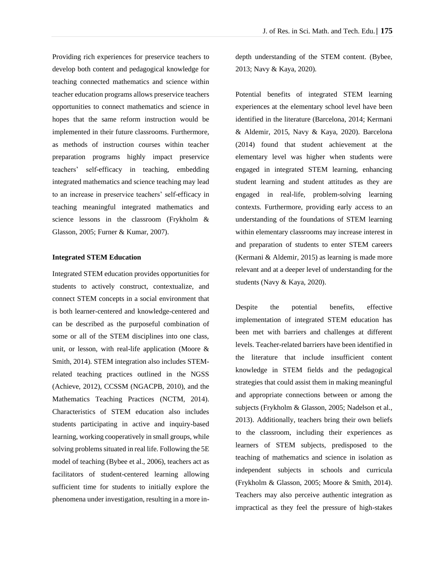Providing rich experiences for preservice teachers to develop both content and pedagogical knowledge for teaching connected mathematics and science within teacher education programs allows preservice teachers opportunities to connect mathematics and science in hopes that the same reform instruction would be implemented in their future classrooms. Furthermore, as methods of instruction courses within teacher preparation programs highly impact preservice teachers' self-efficacy in teaching, embedding integrated mathematics and science teaching may lead to an increase in preservice teachers' self-efficacy in teaching meaningful integrated mathematics and science lessons in the classroom (Frykholm & Glasson, 2005; Furner & Kumar, 2007).

#### **Integrated STEM Education**

Integrated STEM education provides opportunities for students to actively construct, contextualize, and connect STEM concepts in a social environment that is both learner-centered and knowledge-centered and can be described as the purposeful combination of some or all of the STEM disciplines into one class, unit, or lesson, with real-life application (Moore & Smith, 2014). STEM integration also includes STEMrelated teaching practices outlined in the NGSS (Achieve, 2012), CCSSM (NGACPB, 2010), and the Mathematics Teaching Practices (NCTM, 2014). Characteristics of STEM education also includes students participating in active and inquiry-based learning, working cooperatively in small groups, while solving problems situated in real life. Following the 5E model of teaching (Bybee et al., 2006), teachers act as facilitators of student-centered learning allowing sufficient time for students to initially explore the phenomena under investigation, resulting in a more indepth understanding of the STEM content. (Bybee, 2013; Navy & Kaya, 2020).

Potential benefits of integrated STEM learning experiences at the elementary school level have been identified in the literature (Barcelona, 2014; Kermani & Aldemir, 2015, Navy & Kaya, 2020). Barcelona (2014) found that student achievement at the elementary level was higher when students were engaged in integrated STEM learning, enhancing student learning and student attitudes as they are engaged in real-life, problem-solving learning contexts. Furthermore, providing early access to an understanding of the foundations of STEM learning within elementary classrooms may increase interest in and preparation of students to enter STEM careers (Kermani & Aldemir, 2015) as learning is made more relevant and at a deeper level of understanding for the students (Navy & Kaya, 2020).

Despite the potential benefits, effective implementation of integrated STEM education has been met with barriers and challenges at different levels. Teacher-related barriers have been identified in the literature that include insufficient content knowledge in STEM fields and the pedagogical strategies that could assist them in making meaningful and appropriate connections between or among the subjects (Frykholm & Glasson, 2005; Nadelson et al., 2013). Additionally, teachers bring their own beliefs to the classroom, including their experiences as learners of STEM subjects, predisposed to the teaching of mathematics and science in isolation as independent subjects in schools and curricula (Frykholm & Glasson, 2005; Moore & Smith, 2014). Teachers may also perceive authentic integration as impractical as they feel the pressure of high-stakes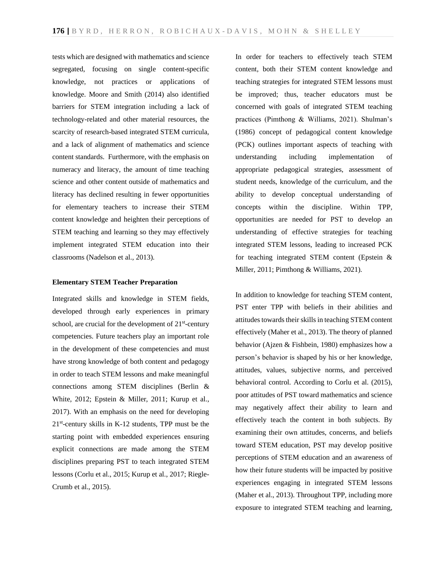tests which are designed with mathematics and science segregated, focusing on single content-specific knowledge, not practices or applications of knowledge. Moore and Smith (2014) also identified barriers for STEM integration including a lack of technology-related and other material resources, the scarcity of research-based integrated STEM curricula, and a lack of alignment of mathematics and science content standards. Furthermore, with the emphasis on numeracy and literacy, the amount of time teaching science and other content outside of mathematics and literacy has declined resulting in fewer opportunities for elementary teachers to increase their STEM content knowledge and heighten their perceptions of STEM teaching and learning so they may effectively implement integrated STEM education into their classrooms (Nadelson et al., 2013).

#### **Elementary STEM Teacher Preparation**

Integrated skills and knowledge in STEM fields, developed through early experiences in primary school, are crucial for the development of  $21<sup>st</sup>$ -century competencies. Future teachers play an important role in the development of these competencies and must have strong knowledge of both content and pedagogy in order to teach STEM lessons and make meaningful connections among STEM disciplines (Berlin & White, 2012; Epstein & Miller, 2011; Kurup et al., 2017). With an emphasis on the need for developing 21<sup>st</sup>-century skills in K-12 students, TPP must be the starting point with embedded experiences ensuring explicit connections are made among the STEM disciplines preparing PST to teach integrated STEM lessons (Corlu et al., 2015; Kurup et al., 2017; Riegle-Crumb et al., 2015).

In order for teachers to effectively teach STEM content, both their STEM content knowledge and teaching strategies for integrated STEM lessons must be improved; thus, teacher educators must be concerned with goals of integrated STEM teaching practices (Pimthong & Williams, 2021). Shulman's (1986) concept of pedagogical content knowledge (PCK) outlines important aspects of teaching with understanding including implementation of appropriate pedagogical strategies, assessment of student needs, knowledge of the curriculum, and the ability to develop conceptual understanding of concepts within the discipline. Within TPP, opportunities are needed for PST to develop an understanding of effective strategies for teaching integrated STEM lessons, leading to increased PCK for teaching integrated STEM content (Epstein & Miller, 2011; Pimthong & Williams, 2021).

In addition to knowledge for teaching STEM content, PST enter TPP with beliefs in their abilities and attitudes towards their skills in teaching STEM content effectively (Maher et al., 2013). The theory of planned behavior (Ajzen & Fishbein, 1980) emphasizes how a person's behavior is shaped by his or her knowledge, attitudes, values, subjective norms, and perceived behavioral control. According to Corlu et al. (2015), poor attitudes of PST toward mathematics and science may negatively affect their ability to learn and effectively teach the content in both subjects. By examining their own attitudes, concerns, and beliefs toward STEM education, PST may develop positive perceptions of STEM education and an awareness of how their future students will be impacted by positive experiences engaging in integrated STEM lessons (Maher et al., 2013). Throughout TPP, including more exposure to integrated STEM teaching and learning,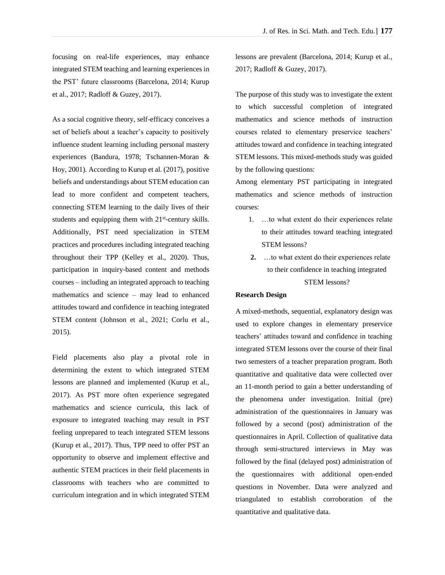focusing on real-life experiences, may enhance integrated STEM teaching and learning experiences in the PST' future classrooms (Barcelona, 2014; Kurup et al., 2017; Radloff & Guzey, 2017).

As a social cognitive theory, self-efficacy conceives a set of beliefs about a teacher's capacity to positively influence student learning including personal mastery experiences (Bandura, 1978; Tschannen-Moran & Hoy, 2001). According to Kurup et al. (2017), positive beliefs and understandings about STEM education can lead to more confident and competent teachers, connecting STEM learning to the daily lives of their students and equipping them with 21<sup>st</sup>-century skills. Additionally, PST need specialization in STEM practices and procedures including integrated teaching throughout their TPP (Kelley et al., 2020). Thus, participation in inquiry-based content and methods courses – including an integrated approach to teaching mathematics and science – may lead to enhanced attitudes toward and confidence in teaching integrated STEM content (Johnson et al., 2021; Corlu et al., 2015).

Field placements also play a pivotal role in determining the extent to which integrated STEM lessons are planned and implemented (Kurup et al., 2017). As PST more often experience segregated mathematics and science curricula, this lack of exposure to integrated teaching may result in PST feeling unprepared to teach integrated STEM lessons (Kurup et al., 2017). Thus, TPP need to offer PST an opportunity to observe and implement effective and authentic STEM practices in their field placements in classrooms with teachers who are committed to curriculum integration and in which integrated STEM

lessons are prevalent (Barcelona, 2014; Kurup et al., 2017; Radloff & Guzey, 2017).

The purpose of this study was to investigate the extent to which successful completion of integrated mathematics and science methods of instruction courses related to elementary preservice teachers' attitudes toward and confidence in teaching integrated STEM lessons. This mixed-methods study was guided by the following questions:

Among elementary PST participating in integrated mathematics and science methods of instruction courses:

- 1. …to what extent do their experiences relate to their attitudes toward teaching integrated STEM lessons?
- **2.** …to what extent do their experiences relate to their confidence in teaching integrated STEM lessons?

# **Research Design**

A mixed-methods, sequential, explanatory design was used to explore changes in elementary preservice teachers' attitudes toward and confidence in teaching integrated STEM lessons over the course of their final two semesters of a teacher preparation program. Both quantitative and qualitative data were collected over an 11-month period to gain a better understanding of the phenomena under investigation. Initial (pre) administration of the questionnaires in January was followed by a second (post) administration of the questionnaires in April. Collection of qualitative data through semi-structured interviews in May was followed by the final (delayed post) administration of the questionnaires with additional open-ended questions in November. Data were analyzed and triangulated to establish corroboration of the quantitative and qualitative data.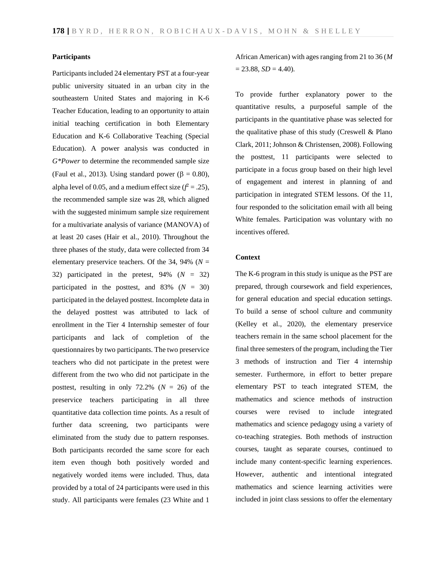#### **Participants**

Participants included 24 elementary PST at a four-year public university situated in an urban city in the southeastern United States and majoring in K-6 Teacher Education, leading to an opportunity to attain initial teaching certification in both Elementary Education and K-6 Collaborative Teaching (Special Education). A power analysis was conducted in *G\*Power* to determine the recommended sample size (Faul et al., 2013). Using standard power ( $\beta = 0.80$ ), alpha level of 0.05, and a medium effect size  $(f^2 = .25)$ , the recommended sample size was 28, which aligned with the suggested minimum sample size requirement for a multivariate analysis of variance (MANOVA) of at least 20 cases (Hair et al., 2010). Throughout the three phases of the study, data were collected from 34 elementary preservice teachers. Of the 34, 94% ( $N =$ 32) participated in the pretest, 94% (*N* = 32) participated in the posttest, and  $83\%$  ( $N = 30$ ) participated in the delayed posttest. Incomplete data in the delayed posttest was attributed to lack of enrollment in the Tier 4 Internship semester of four participants and lack of completion of the questionnaires by two participants. The two preservice teachers who did not participate in the pretest were different from the two who did not participate in the posttest, resulting in only  $72.2\%$  ( $N = 26$ ) of the preservice teachers participating in all three quantitative data collection time points. As a result of further data screening, two participants were eliminated from the study due to pattern responses. Both participants recorded the same score for each item even though both positively worded and negatively worded items were included. Thus, data provided by a total of 24 participants were used in this study. All participants were females (23 White and 1

African American) with ages ranging from 21 to 36 (*M*  $= 23.88, SD = 4.40$ .

To provide further explanatory power to the quantitative results, a purposeful sample of the participants in the quantitative phase was selected for the qualitative phase of this study (Creswell & Plano Clark, 2011; Johnson & Christensen, 2008). Following the posttest, 11 participants were selected to participate in a focus group based on their high level of engagement and interest in planning of and participation in integrated STEM lessons. Of the 11, four responded to the solicitation email with all being White females. Participation was voluntary with no incentives offered.

## **Context**

The K-6 program in this study is unique as the PST are prepared, through coursework and field experiences, for general education and special education settings. To build a sense of school culture and community (Kelley et al., 2020), the elementary preservice teachers remain in the same school placement for the final three semesters of the program, including the Tier 3 methods of instruction and Tier 4 internship semester. Furthermore, in effort to better prepare elementary PST to teach integrated STEM, the mathematics and science methods of instruction courses were revised to include integrated mathematics and science pedagogy using a variety of co-teaching strategies. Both methods of instruction courses, taught as separate courses, continued to include many content-specific learning experiences. However, authentic and intentional integrated mathematics and science learning activities were included in joint class sessions to offer the elementary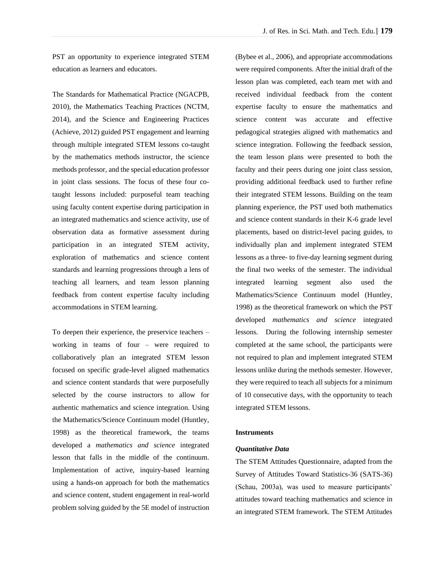PST an opportunity to experience integrated STEM education as learners and educators.

The Standards for Mathematical Practice (NGACPB, 2010), the Mathematics Teaching Practices (NCTM, 2014), and the Science and Engineering Practices (Achieve, 2012) guided PST engagement and learning through multiple integrated STEM lessons co-taught by the mathematics methods instructor, the science methods professor, and the special education professor in joint class sessions. The focus of these four cotaught lessons included: purposeful team teaching using faculty content expertise during participation in an integrated mathematics and science activity, use of observation data as formative assessment during participation in an integrated STEM activity, exploration of mathematics and science content standards and learning progressions through a lens of teaching all learners, and team lesson planning feedback from content expertise faculty including accommodations in STEM learning.

To deepen their experience, the preservice teachers – working in teams of four – were required to collaboratively plan an integrated STEM lesson focused on specific grade-level aligned mathematics and science content standards that were purposefully selected by the course instructors to allow for authentic mathematics and science integration. Using the Mathematics/Science Continuum model (Huntley, 1998) as the theoretical framework, the teams developed a *mathematics and science* integrated lesson that falls in the middle of the continuum. Implementation of active, inquiry-based learning using a hands-on approach for both the mathematics and science content, student engagement in real-world problem solving guided by the 5E model of instruction (Bybee et al., 2006), and appropriate accommodations were required components. After the initial draft of the lesson plan was completed, each team met with and received individual feedback from the content expertise faculty to ensure the mathematics and science content was accurate and effective pedagogical strategies aligned with mathematics and science integration. Following the feedback session, the team lesson plans were presented to both the faculty and their peers during one joint class session, providing additional feedback used to further refine their integrated STEM lessons. Building on the team planning experience, the PST used both mathematics and science content standards in their K-6 grade level placements, based on district-level pacing guides, to individually plan and implement integrated STEM lessons as a three- to five-day learning segment during the final two weeks of the semester. The individual integrated learning segment also used the Mathematics/Science Continuum model (Huntley, 1998) as the theoretical framework on which the PST developed *mathematics and science* integrated lessons. During the following internship semester completed at the same school, the participants were not required to plan and implement integrated STEM lessons unlike during the methods semester. However, they were required to teach all subjects for a minimum of 10 consecutive days, with the opportunity to teach integrated STEM lessons.

### **Instruments**

#### *Quantitative Data*

The STEM Attitudes Questionnaire, adapted from the Survey of Attitudes Toward Statistics-36 (SATS-36) (Schau, 2003a), was used to measure participants' attitudes toward teaching mathematics and science in an integrated STEM framework. The STEM Attitudes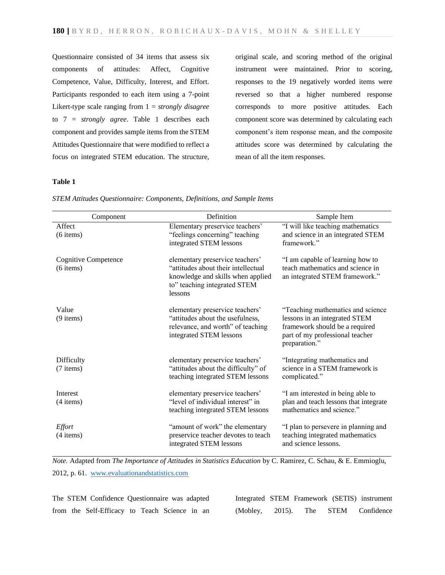Questionnaire consisted of 34 items that assess six components of attitudes: Affect, Cognitive Competence, Value, Difficulty, Interest, and Effort. Participants responded to each item using a 7-point Likert-type scale ranging from 1 = *strongly disagree* to 7 = *strongly agree*. Table 1 describes each component and provides sample items from the STEM Attitudes Questionnaire that were modified to reflect a focus on integrated STEM education. The structure,

original scale, and scoring method of the original instrument were maintained. Prior to scoring, responses to the 19 negatively worded items were reversed so that a higher numbered response corresponds to more positive attitudes. Each component score was determined by calculating each component's item response mean, and the composite attitudes score was determined by calculating the mean of all the item responses.

# **Table 1**

| Component                                  | Definition                                                                                                                                             | Sample Item                                                                                                                                              |  |
|--------------------------------------------|--------------------------------------------------------------------------------------------------------------------------------------------------------|----------------------------------------------------------------------------------------------------------------------------------------------------------|--|
| Affect<br>$(6$ items)                      | Elementary preservice teachers'<br>"feelings concerning" teaching<br>integrated STEM lessons                                                           | "I will like teaching mathematics<br>and science in an integrated STEM<br>framework."                                                                    |  |
| <b>Cognitive Competence</b><br>$(6$ items) | elementary preservice teachers'<br>"attitudes about their intellectual<br>knowledge and skills when applied<br>to" teaching integrated STEM<br>lessons | "I am capable of learning how to<br>teach mathematics and science in<br>an integrated STEM framework."                                                   |  |
| Value<br>$(9$ items)                       | elementary preservice teachers'<br>"attitudes about the usefulness,<br>relevance, and worth" of teaching<br>integrated STEM lessons                    | "Teaching mathematics and science<br>lessons in an integrated STEM<br>framework should be a required<br>part of my professional teacher<br>preparation." |  |
| Difficulty<br>(7 items)                    | elementary preservice teachers'<br>"attitudes about the difficulty" of<br>teaching integrated STEM lessons                                             | "Integrating mathematics and<br>science in a STEM framework is<br>complicated."                                                                          |  |
| <b>Interest</b><br>$(4$ items)             | elementary preservice teachers'<br>"level of individual interest" in<br>teaching integrated STEM lessons                                               | "I am interested in being able to<br>plan and teach lessons that integrate<br>mathematics and science."                                                  |  |
| <b>Effort</b><br>$(4$ items)               | "amount of work" the elementary<br>preservice teacher devotes to teach<br>integrated STEM lessons                                                      | "I plan to persevere in planning and<br>teaching integrated mathematics<br>and science lessons.                                                          |  |

*STEM Attitudes Questionnaire: Components, Definitions, and Sample Items*

*Note.* Adapted from *The Importance of Attitudes in Statistics Education* by C. Ramirez, C. Schau, & E. Emmioglu, 2012, p. 61. [www.evaluationandstatistics.com](http://www.evaluationandstatistics.com/)

The STEM Confidence Questionnaire was adapted from the Self-Efficacy to Teach Science in an Integrated STEM Framework (SETIS) instrument (Mobley, 2015). The STEM Confidence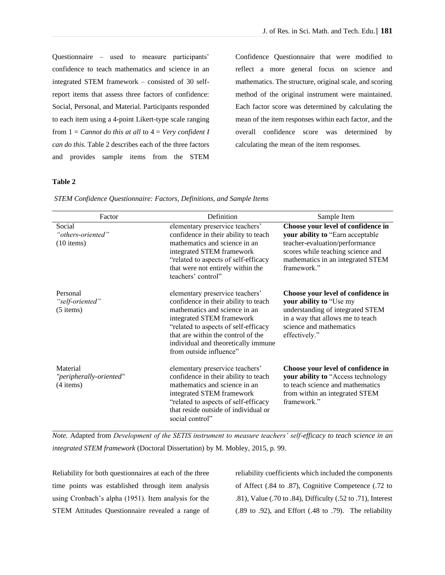Questionnaire – used to measure participants' confidence to teach mathematics and science in an integrated STEM framework – consisted of 30 selfreport items that assess three factors of confidence: Social, Personal, and Material. Participants responded to each item using a 4-point Likert-type scale ranging from 1 = *Cannot do this at all* to 4 = *Very confident I can do this*. Table 2 describes each of the three factors and provides sample items from the STEM Confidence Questionnaire that were modified to reflect a more general focus on science and mathematics. The structure, original scale, and scoring method of the original instrument were maintained. Each factor score was determined by calculating the mean of the item responses within each factor, and the overall confidence score was determined by calculating the mean of the item responses.

# **Table 2**

| Factor                                             | Definition                                                                                                                                                                                                                                                                            | Sample Item                                                                                                                                                                                        |
|----------------------------------------------------|---------------------------------------------------------------------------------------------------------------------------------------------------------------------------------------------------------------------------------------------------------------------------------------|----------------------------------------------------------------------------------------------------------------------------------------------------------------------------------------------------|
| Social<br>"others-oriented"<br>$(10$ items)        | elementary preservice teachers'<br>confidence in their ability to teach<br>mathematics and science in an<br>integrated STEM framework<br>"related to aspects of self-efficacy<br>that were not entirely within the<br>teachers' control"                                              | Choose your level of confidence in<br>your ability to "Earn acceptable"<br>teacher-evaluation/performance<br>scores while teaching science and<br>mathematics in an integrated STEM<br>framework." |
| Personal<br>"self-oriented"<br>$(5$ items)         | elementary preservice teachers'<br>confidence in their ability to teach<br>mathematics and science in an<br>integrated STEM framework<br>"related to aspects of self-efficacy<br>that are within the control of the<br>individual and theoretically immune<br>from outside influence" | Choose your level of confidence in<br>your ability to "Use my<br>understanding of integrated STEM<br>in a way that allows me to teach<br>science and mathematics<br>effectively."                  |
| Material<br>"peripherally-oriented"<br>$(4$ items) | elementary preservice teachers'<br>confidence in their ability to teach<br>mathematics and science in an<br>integrated STEM framework<br>"related to aspects of self-efficacy<br>that reside outside of individual or<br>social control"                                              | Choose your level of confidence in<br>your ability to "Access technology<br>to teach science and mathematics<br>from within an integrated STEM<br>framework."                                      |

*STEM Confidence Questionnaire: Factors, Definitions, and Sample Items*

*Note.* Adapted from *Development of the SETIS instrument to measure teachers' self-efficacy to teach science in an integrated STEM framework* (Doctoral Dissertation) by M. Mobley, 2015, p. 99.

Reliability for both questionnaires at each of the three time points was established through item analysis using Cronbach's alpha (1951). Item analysis for the STEM Attitudes Questionnaire revealed a range of

reliability coefficients which included the components of Affect (.84 to .87), Cognitive Competence (.72 to .81), Value (.70 to .84), Difficulty (.52 to .71), Interest (.89 to .92), and Effort (.48 to .79). The reliability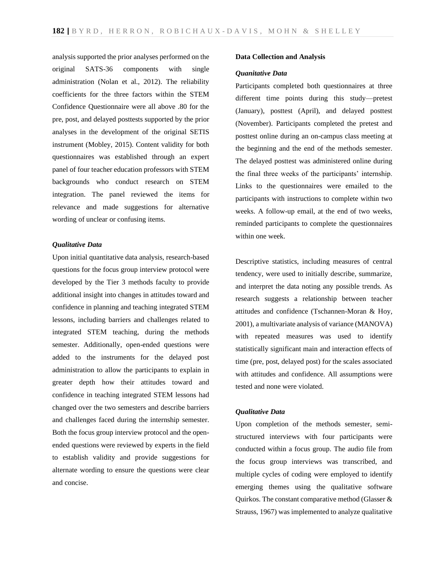analysis supported the prior analyses performed on the original SATS-36 components with single administration (Nolan et al., 2012). The reliability coefficients for the three factors within the STEM Confidence Questionnaire were all above .80 for the pre, post, and delayed posttests supported by the prior analyses in the development of the original SETIS instrument (Mobley, 2015). Content validity for both questionnaires was established through an expert panel of four teacher education professors with STEM backgrounds who conduct research on STEM integration. The panel reviewed the items for relevance and made suggestions for alternative wording of unclear or confusing items.

## *Qualitative Data*

Upon initial quantitative data analysis, research-based questions for the focus group interview protocol were developed by the Tier 3 methods faculty to provide additional insight into changes in attitudes toward and confidence in planning and teaching integrated STEM lessons, including barriers and challenges related to integrated STEM teaching, during the methods semester. Additionally, open-ended questions were added to the instruments for the delayed post administration to allow the participants to explain in greater depth how their attitudes toward and confidence in teaching integrated STEM lessons had changed over the two semesters and describe barriers and challenges faced during the internship semester. Both the focus group interview protocol and the openended questions were reviewed by experts in the field to establish validity and provide suggestions for alternate wording to ensure the questions were clear and concise.

#### **Data Collection and Analysis**

## *Quanitative Data*

Participants completed both questionnaires at three different time points during this study—pretest (January), posttest (April), and delayed posttest (November). Participants completed the pretest and posttest online during an on-campus class meeting at the beginning and the end of the methods semester. The delayed posttest was administered online during the final three weeks of the participants' internship. Links to the questionnaires were emailed to the participants with instructions to complete within two weeks. A follow-up email, at the end of two weeks, reminded participants to complete the questionnaires within one week.

Descriptive statistics, including measures of central tendency, were used to initially describe, summarize, and interpret the data noting any possible trends. As research suggests a relationship between teacher attitudes and confidence (Tschannen-Moran & Hoy, 2001), a multivariate analysis of variance (MANOVA) with repeated measures was used to identify statistically significant main and interaction effects of time (pre, post, delayed post) for the scales associated with attitudes and confidence. All assumptions were tested and none were violated.

## *Qualitative Data*

Upon completion of the methods semester, semistructured interviews with four participants were conducted within a focus group. The audio file from the focus group interviews was transcribed, and multiple cycles of coding were employed to identify emerging themes using the qualitative software Quirkos. The constant comparative method (Glasser & Strauss, 1967) was implemented to analyze qualitative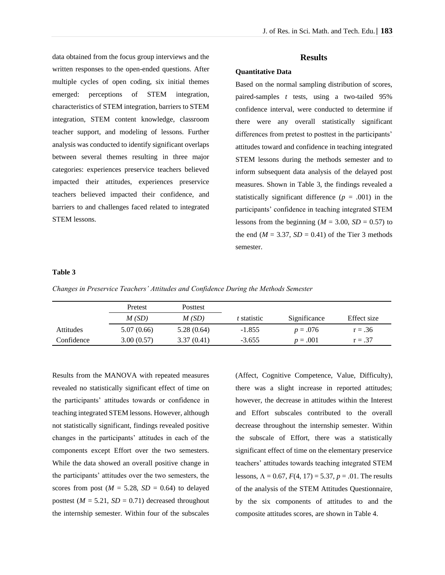data obtained from the focus group interviews and the written responses to the open-ended questions. After multiple cycles of open coding, six initial themes emerged: perceptions of STEM integration, characteristics of STEM integration, barriers to STEM integration, STEM content knowledge, classroom teacher support, and modeling of lessons. Further analysis was conducted to identify significant overlaps between several themes resulting in three major categories: experiences preservice teachers believed impacted their attitudes, experiences preservice teachers believed impacted their confidence, and barriers to and challenges faced related to integrated STEM lessons.

# **Results**

# **Quantitative Data**

Based on the normal sampling distribution of scores, paired-samples *t* tests, using a two-tailed 95% confidence interval, were conducted to determine if there were any overall statistically significant differences from pretest to posttest in the participants' attitudes toward and confidence in teaching integrated STEM lessons during the methods semester and to inform subsequent data analysis of the delayed post measures. Shown in Table 3, the findings revealed a statistically significant difference  $(p = .001)$  in the participants' confidence in teaching integrated STEM lessons from the beginning ( $M = 3.00$ ,  $SD = 0.57$ ) to the end  $(M = 3.37, SD = 0.41)$  of the Tier 3 methods semester.

#### **Table 3**

*Changes in Preservice Teachers' Attitudes and Confidence During the Methods Semester*

|            | Pretest    | Posttest   |             |              |             |  |
|------------|------------|------------|-------------|--------------|-------------|--|
|            | M(SD)      | M(SD)      | t statistic | Significance | Effect size |  |
| Attitudes  | 5.07(0.66) | 5.28(0.64) | $-1.855$    | $p = .076$   | $r = .36$   |  |
| Confidence | 3.00(0.57) | 3.37(0.41) | $-3.655$    | $p = .001$   | $r = .37$   |  |

Results from the MANOVA with repeated measures revealed no statistically significant effect of time on the participants' attitudes towards or confidence in teaching integrated STEM lessons. However, although not statistically significant, findings revealed positive changes in the participants' attitudes in each of the components except Effort over the two semesters. While the data showed an overall positive change in the participants' attitudes over the two semesters, the scores from post ( $M = 5.28$ ,  $SD = 0.64$ ) to delayed posttest  $(M = 5.21, SD = 0.71)$  decreased throughout the internship semester. Within four of the subscales

(Affect, Cognitive Competence, Value, Difficulty), there was a slight increase in reported attitudes; however, the decrease in attitudes within the Interest and Effort subscales contributed to the overall decrease throughout the internship semester. Within the subscale of Effort, there was a statistically significant effect of time on the elementary preservice teachers' attitudes towards teaching integrated STEM lessons,  $\Lambda = 0.67$ ,  $F(4, 17) = 5.37$ ,  $p = .01$ . The results of the analysis of the STEM Attitudes Questionnaire, by the six components of attitudes to and the composite attitudes scores, are shown in Table 4.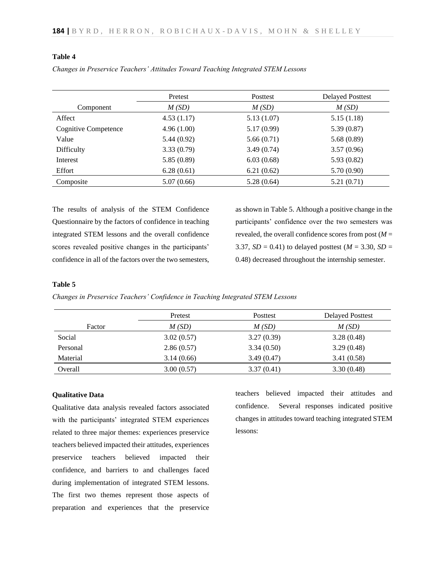# **Table 4**

|                             | Pretest    | Posttest   | <b>Delayed Posttest</b> |
|-----------------------------|------------|------------|-------------------------|
| Component                   | M(SD)      | M(SD)      | M(SD)                   |
| Affect                      | 4.53(1.17) | 5.13(1.07) | 5.15(1.18)              |
| <b>Cognitive Competence</b> | 4.96(1.00) | 5.17(0.99) | 5.39(0.87)              |
| Value                       | 5.44(0.92) | 5.66(0.71) | 5.68(0.89)              |
| Difficulty                  | 3.33(0.79) | 3.49(0.74) | 3.57(0.96)              |
| Interest                    | 5.85(0.89) | 6.03(0.68) | 5.93(0.82)              |
| Effort                      | 6.28(0.61) | 6.21(0.62) | 5.70(0.90)              |
| Composite                   | 5.07(0.66) | 5.28(0.64) | 5.21(0.71)              |

*Changes in Preservice Teachers' Attitudes Toward Teaching Integrated STEM Lessons* 

The results of analysis of the STEM Confidence Questionnaire by the factors of confidence in teaching integrated STEM lessons and the overall confidence scores revealed positive changes in the participants' confidence in all of the factors over the two semesters,

as shown in Table 5. Although a positive change in the participants' confidence over the two semesters was revealed, the overall confidence scores from post  $(M =$ 3.37, *SD* = 0.41) to delayed posttest ( $M = 3.30$ , *SD* = 0.48) decreased throughout the internship semester.

## **Table 5**

*Changes in Preservice Teachers' Confidence in Teaching Integrated STEM Lessons* 

|          | Pretest    | Posttest   | <b>Delayed Posttest</b> |
|----------|------------|------------|-------------------------|
| Factor   | M(SD)      | M(SD)      | M(SD)                   |
| Social   | 3.02(0.57) | 3.27(0.39) | 3.28(0.48)              |
| Personal | 2.86(0.57) | 3.34(0.50) | 3.29(0.48)              |
| Material | 3.14(0.66) | 3.49(0.47) | 3.41(0.58)              |
| Overall  | 3.00(0.57) | 3.37(0.41) | 3.30(0.48)              |

## **Qualitative Data**

Qualitative data analysis revealed factors associated with the participants' integrated STEM experiences related to three major themes: experiences preservice teachers believed impacted their attitudes, experiences preservice teachers believed impacted their confidence, and barriers to and challenges faced during implementation of integrated STEM lessons. The first two themes represent those aspects of preparation and experiences that the preservice

teachers believed impacted their attitudes and confidence. Several responses indicated positive changes in attitudes toward teaching integrated STEM lessons: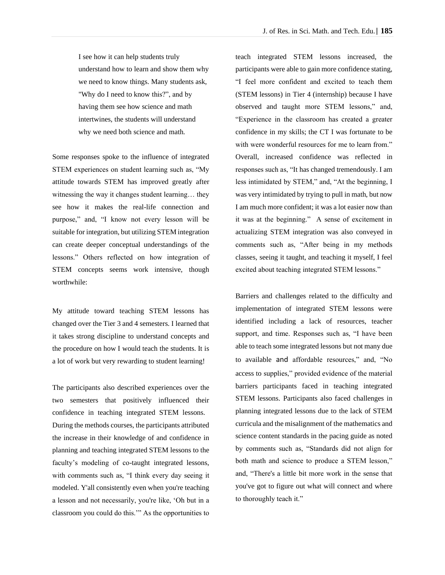I see how it can help students truly understand how to learn and show them why we need to know things. Many students ask, "Why do I need to know this?", and by having them see how science and math intertwines, the students will understand why we need both science and math.

Some responses spoke to the influence of integrated STEM experiences on student learning such as, "My attitude towards STEM has improved greatly after witnessing the way it changes student learning… they see how it makes the real-life connection and purpose," and, "I know not every lesson will be suitable for integration, but utilizing STEM integration can create deeper conceptual understandings of the lessons." Others reflected on how integration of STEM concepts seems work intensive, though worthwhile:

My attitude toward teaching STEM lessons has changed over the Tier 3 and 4 semesters. I learned that it takes strong discipline to understand concepts and the procedure on how I would teach the students. It is a lot of work but very rewarding to student learning!

The participants also described experiences over the two semesters that positively influenced their confidence in teaching integrated STEM lessons. During the methods courses, the participants attributed the increase in their knowledge of and confidence in planning and teaching integrated STEM lessons to the faculty's modeling of co-taught integrated lessons, with comments such as, "I think every day seeing it modeled. Y'all consistently even when you're teaching a lesson and not necessarily, you're like, 'Oh but in a classroom you could do this.'" As the opportunities to teach integrated STEM lessons increased, the participants were able to gain more confidence stating, "I feel more confident and excited to teach them (STEM lessons) in Tier 4 (internship) because I have observed and taught more STEM lessons," and, "Experience in the classroom has created a greater confidence in my skills; the CT I was fortunate to be with were wonderful resources for me to learn from." Overall, increased confidence was reflected in responses such as, "It has changed tremendously. I am less intimidated by STEM," and, "At the beginning, I was very intimidated by trying to pull in math, but now I am much more confident; it was a lot easier now than it was at the beginning." A sense of excitement in actualizing STEM integration was also conveyed in comments such as, "After being in my methods classes, seeing it taught, and teaching it myself, I feel excited about teaching integrated STEM lessons."

Barriers and challenges related to the difficulty and implementation of integrated STEM lessons were identified including a lack of resources, teacher support, and time. Responses such as, "I have been able to teach some integrated lessons but not many due to available and affordable resources," and, "No access to supplies," provided evidence of the material barriers participants faced in teaching integrated STEM lessons. Participants also faced challenges in planning integrated lessons due to the lack of STEM curricula and the misalignment of the mathematics and science content standards in the pacing guide as noted by comments such as, "Standards did not align for both math and science to produce a STEM lesson," and, "There's a little bit more work in the sense that you've got to figure out what will connect and where to thoroughly teach it."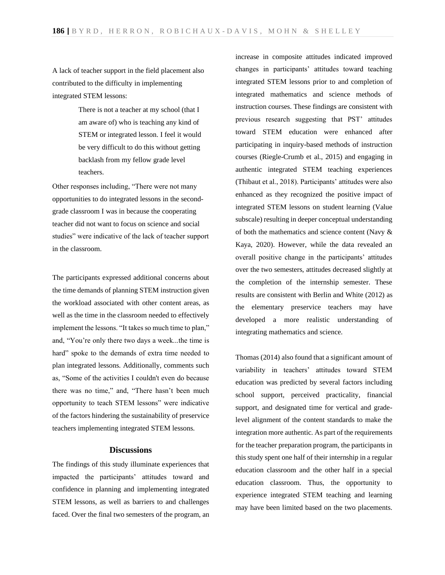A lack of teacher support in the field placement also contributed to the difficulty in implementing integrated STEM lessons:

> There is not a teacher at my school (that I am aware of) who is teaching any kind of STEM or integrated lesson. I feel it would be very difficult to do this without getting backlash from my fellow grade level teachers.

Other responses including, "There were not many opportunities to do integrated lessons in the secondgrade classroom I was in because the cooperating teacher did not want to focus on science and social studies" were indicative of the lack of teacher support in the classroom.

The participants expressed additional concerns about the time demands of planning STEM instruction given the workload associated with other content areas, as well as the time in the classroom needed to effectively implement the lessons. "It takes so much time to plan," and, "You're only there two days a week...the time is hard" spoke to the demands of extra time needed to plan integrated lessons. Additionally, comments such as, "Some of the activities I couldn't even do because there was no time," and, "There hasn't been much opportunity to teach STEM lessons" were indicative of the factors hindering the sustainability of preservice teachers implementing integrated STEM lessons.

#### **Discussions**

The findings of this study illuminate experiences that impacted the participants' attitudes toward and confidence in planning and implementing integrated STEM lessons, as well as barriers to and challenges faced. Over the final two semesters of the program, an

increase in composite attitudes indicated improved changes in participants' attitudes toward teaching integrated STEM lessons prior to and completion of integrated mathematics and science methods of instruction courses. These findings are consistent with previous research suggesting that PST' attitudes toward STEM education were enhanced after participating in inquiry-based methods of instruction courses (Riegle-Crumb et al., 2015) and engaging in authentic integrated STEM teaching experiences (Thibaut et al., 2018). Participants' attitudes were also enhanced as they recognized the positive impact of integrated STEM lessons on student learning (Value subscale) resulting in deeper conceptual understanding of both the mathematics and science content (Navy & Kaya, 2020). However, while the data revealed an overall positive change in the participants' attitudes over the two semesters, attitudes decreased slightly at the completion of the internship semester. These results are consistent with Berlin and White (2012) as the elementary preservice teachers may have developed a more realistic understanding of integrating mathematics and science.

Thomas (2014) also found that a significant amount of variability in teachers' attitudes toward STEM education was predicted by several factors including school support, perceived practicality, financial support, and designated time for vertical and gradelevel alignment of the content standards to make the integration more authentic. As part of the requirements for the teacher preparation program, the participants in this study spent one half of their internship in a regular education classroom and the other half in a special education classroom. Thus, the opportunity to experience integrated STEM teaching and learning may have been limited based on the two placements.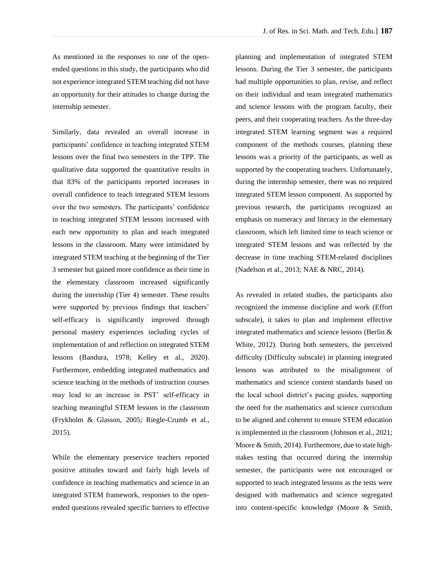As mentioned in the responses to one of the openended questions in this study, the participants who did not experience integrated STEM teaching did not have an opportunity for their attitudes to change during the internship semester.

Similarly, data revealed an overall increase in participants' confidence in teaching integrated STEM lessons over the final two semesters in the TPP. The qualitative data supported the quantitative results in that 83% of the participants reported increases in overall confidence to teach integrated STEM lessons over the two semesters. The participants' confidence in teaching integrated STEM lessons increased with each new opportunity to plan and teach integrated lessons in the classroom. Many were intimidated by integrated STEM teaching at the beginning of the Tier 3 semester but gained more confidence as their time in the elementary classroom increased significantly during the internship (Tier 4) semester. These results were supported by previous findings that teachers' self-efficacy is significantly improved through personal mastery experiences including cycles of implementation of and reflection on integrated STEM lessons (Bandura, 1978; Kelley et al., 2020). Furthermore, embedding integrated mathematics and science teaching in the methods of instruction courses may lead to an increase in PST' self-efficacy in teaching meaningful STEM lessons in the classroom (Frykholm & Glasson, 2005; Riegle-Crumb et al., 2015).

While the elementary preservice teachers reported positive attitudes toward and fairly high levels of confidence in teaching mathematics and science in an integrated STEM framework, responses to the openended questions revealed specific barriers to effective planning and implementation of integrated STEM lessons. During the Tier 3 semester, the participants had multiple opportunities to plan, revise, and reflect on their individual and team integrated mathematics and science lessons with the program faculty, their peers, and their cooperating teachers. As the three-day integrated STEM learning segment was a required component of the methods courses, planning these lessons was a priority of the participants, as well as supported by the cooperating teachers. Unfortunately, during the internship semester, there was no required integrated STEM lesson component. As supported by previous research, the participants recognized an emphasis on numeracy and literacy in the elementary classroom, which left limited time to teach science or integrated STEM lessons and was reflected by the decrease in time teaching STEM-related disciplines (Nadelson et al., 2013; NAE & NRC, 2014).

As revealed in related studies, the participants also recognized the immense discipline and work (Effort subscale), it takes to plan and implement effective integrated mathematics and science lessons (Berlin & White, 2012). During both semesters, the perceived difficulty (Difficulty subscale) in planning integrated lessons was attributed to the misalignment of mathematics and science content standards based on the local school district's pacing guides, supporting the need for the mathematics and science curriculum to be aligned and coherent to ensure STEM education is implemented in the classroom (Johnson et al., 2021; Moore & Smith, 2014). Furthermore, due to state highstakes testing that occurred during the internship semester, the participants were not encouraged or supported to teach integrated lessons as the tests were designed with mathematics and science segregated into content-specific knowledge (Moore & Smith,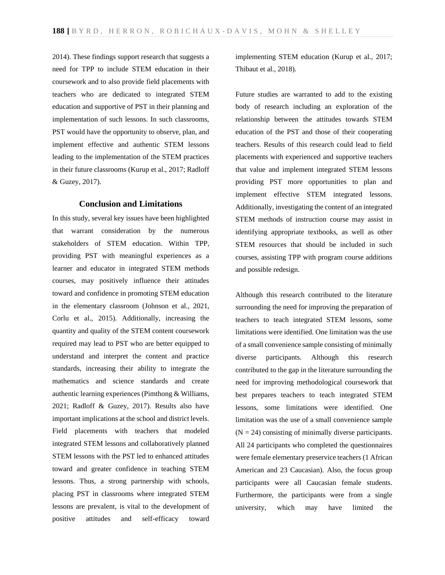2014). These findings support research that suggests a need for TPP to include STEM education in their coursework and to also provide field placements with teachers who are dedicated to integrated STEM education and supportive of PST in their planning and implementation of such lessons. In such classrooms, PST would have the opportunity to observe, plan, and implement effective and authentic STEM lessons leading to the implementation of the STEM practices in their future classrooms (Kurup et al., 2017; Radloff & Guzey, 2017).

# **Conclusion and Limitations**

In this study, several key issues have been highlighted that warrant consideration by the numerous stakeholders of STEM education. Within TPP, providing PST with meaningful experiences as a learner and educator in integrated STEM methods courses, may positively influence their attitudes toward and confidence in promoting STEM education in the elementary classroom (Johnson et al., 2021, Corlu et al., 2015). Additionally, increasing the quantity and quality of the STEM content coursework required may lead to PST who are better equipped to understand and interpret the content and practice standards, increasing their ability to integrate the mathematics and science standards and create authentic learning experiences (Pimthong & Williams, 2021; Radloff & Guzey, 2017). Results also have important implications at the school and district levels. Field placements with teachers that modeled integrated STEM lessons and collaboratively planned STEM lessons with the PST led to enhanced attitudes toward and greater confidence in teaching STEM lessons. Thus, a strong partnership with schools, placing PST in classrooms where integrated STEM lessons are prevalent, is vital to the development of positive attitudes and self-efficacy toward

implementing STEM education (Kurup et al., 2017; Thibaut et al., 2018).

Future studies are warranted to add to the existing body of research including an exploration of the relationship between the attitudes towards STEM education of the PST and those of their cooperating teachers. Results of this research could lead to field placements with experienced and supportive teachers that value and implement integrated STEM lessons providing PST more opportunities to plan and implement effective STEM integrated lessons. Additionally, investigating the content of an integrated STEM methods of instruction course may assist in identifying appropriate textbooks, as well as other STEM resources that should be included in such courses, assisting TPP with program course additions and possible redesign.

Although this research contributed to the literature surrounding the need for improving the preparation of teachers to teach integrated STEM lessons, some limitations were identified. One limitation was the use of a small convenience sample consisting of minimally diverse participants. Although this research contributed to the gap in the literature surrounding the need for improving methodological coursework that best prepares teachers to teach integrated STEM lessons, some limitations were identified. One limitation was the use of a small convenience sample  $(N = 24)$  consisting of minimally diverse participants. All 24 participants who completed the questionnaires were female elementary preservice teachers (1 African American and 23 Caucasian). Also, the focus group participants were all Caucasian female students. Furthermore, the participants were from a single university, which may have limited the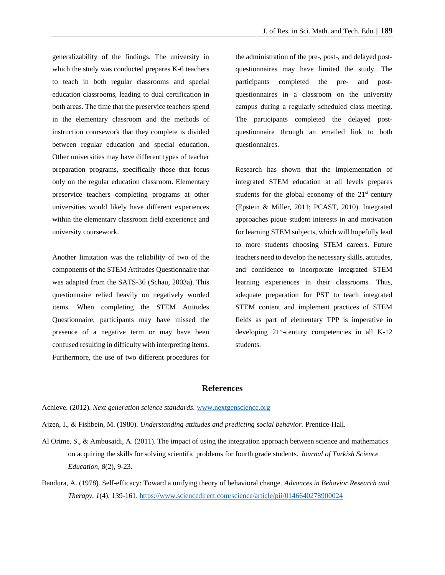generalizability of the findings. The university in which the study was conducted prepares K-6 teachers to teach in both regular classrooms and special education classrooms, leading to dual certification in both areas. The time that the preservice teachers spend in the elementary classroom and the methods of instruction coursework that they complete is divided between regular education and special education. Other universities may have different types of teacher preparation programs, specifically those that focus only on the regular education classroom. Elementary preservice teachers completing programs at other universities would likely have different experiences within the elementary classroom field experience and university coursework.

Another limitation was the reliability of two of the components of the STEM Attitudes Questionnaire that was adapted from the SATS-36 (Schau, 2003a). This questionnaire relied heavily on negatively worded items. When completing the STEM Attitudes Questionnaire, participants may have missed the presence of a negative term or may have been confused resulting in difficulty with interpreting items. Furthermore, the use of two different procedures for

the administration of the pre-, post-, and delayed postquestionnaires may have limited the study. The participants completed the pre- and postquestionnaires in a classroom on the university campus during a regularly scheduled class meeting. The participants completed the delayed postquestionnaire through an emailed link to both questionnaires.

Research has shown that the implementation of integrated STEM education at all levels prepares students for the global economy of the  $21<sup>st</sup>$ -century (Epstein & Miller, 2011; PCAST, 2010). Integrated approaches pique student interests in and motivation for learning STEM subjects, which will hopefully lead to more students choosing STEM careers. Future teachers need to develop the necessary skills, attitudes, and confidence to incorporate integrated STEM learning experiences in their classrooms. Thus, adequate preparation for PST to teach integrated STEM content and implement practices of STEM fields as part of elementary TPP is imperative in developing 21<sup>st</sup>-century competencies in all K-12 students.

## **References**

Achieve. (2012). *Next generation science standards*[. www.nextgenscience.org](http://www.nextgenscience.org/)

- Ajzen, I., & Fishbein, M. (1980). *Understanding attitudes and predicting social behavior.* Prentice-Hall.
- Al Orime, S., & Ambusaidi, A. (2011). The impact of using the integration approach between science and mathematics on acquiring the skills for solving scientific problems for fourth grade students. *Journal of Turkish Science Education, 8*(2), 9-23.
- Bandura, A. (1978). Self-efficacy: Toward a unifying theory of behavioral change. *Advances in Behavior Research and Therapy, 1*(4), 139-161. <https://www.sciencedirect.com/science/article/pii/0146640278900024>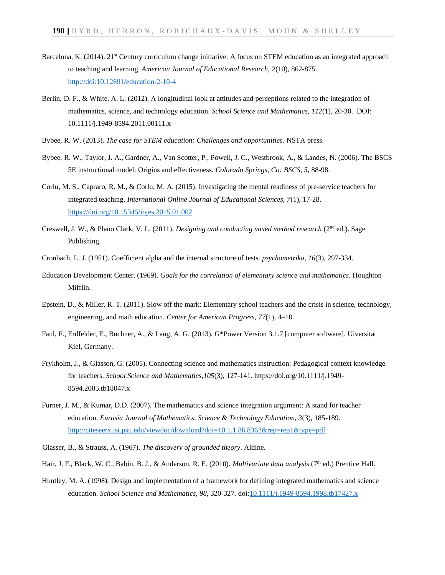- Barcelona, K. (2014). 21<sup>st</sup> Century curriculum change initiative: A focus on STEM education as an integrated approach to teaching and learning. *American Journal of Educational Research, 2*(10), 862-875. [http://doi:10.12691/education-2-10-4](about:blank)
- Berlin, D. F., & White, A. L. (2012). A longitudinal look at attitudes and perceptions related to the integration of mathematics, science, and technology education. *School Science and Mathematics, 112*(1), 20-30. DOI: 10.1111/j.1949-8594.2011.00111.x
- Bybee, R. W. (2013). *The case for STEM education: Challenges and opportunities.* NSTA press.
- Bybee, R. W., Taylor, J. A., Gardner, A., Van Scotter, P., Powell, J. C., Westbrook, A., & Landes, N. (2006). The BSCS 5E instructional model: Origins and effectiveness. *Colorado Springs, Co: BSCS*, *5*, 88-98.
- Corlu, M. S., Capraro, R. M., & Corlu, M. A. (2015). Investigating the mental readiness of pre-service teachers for integrated teaching. *International Online Journal of Educational Sciences, 7*(1), 17-28. <https://doi.org/10.15345/iojes.2015.01.002>
- Creswell, J. W., & Plano Clark, V. L. (2011). *Designing and conducting mixed method research* (2nd ed.). Sage Publishing.
- Cronbach, L. J. (1951). Coefficient alpha and the internal structure of tests. *psychometrika*, *16*(3), 297-334.
- Education Development Center. (1969). *Goals for the correlation of elementary science and mathematics*. Houghton Mifflin.
- Epstein, D., & Miller, R. T. (2011). Slow off the mark: Elementary school teachers and the crisis in science, technology, engineering, and math education. *Center for American Progress*, *77*(1), 4–10.
- Faul, F., Erdfelder, E., Buchner, A., & Lang, A. G. (2013). G\*Power Version 3.1.7 [computer software]. Uiversität Kiel, Germany.
- Frykholm, J., & Glasson, G. (2005). Connecting science and mathematics instruction: Pedagogical context knowledge for teachers. *School Science and Mathematics,105*(3), 127-141. https://doi.org/10.1111/j.1949- 8594.2005.tb18047.x
- Furner, J. M., & Kumar, D.D. (2007). The mathematics and science integration argument: A stand for teacher education. *Eurasia Journal of Mathematics, Science & Technology Education, 3*(3), 185-189. <http://citeseerx.ist.psu.edu/viewdoc/download?doi=10.1.1.86.8362&rep=rep1&type=pdf>
- Glasser, B., & Strauss, A. (1967). *The discovery of grounded theory*. Aldine.
- Hair, J. F., Black, W. C., Babin, B. J., & Anderson, R. E. (2010). *Multivariate data analysis* (7th ed.) Prentice Hall.
- Huntley, M. A. (1998). Design and implementation of a framework for defining integrated mathematics and science education. *School Science and Mathematics, 98*, 320-327. doi[:10.1111/j.1949-8594.1998.tb17427.x](https://doi.org/10.1111/j.1949-8594.1998.tb17427.x)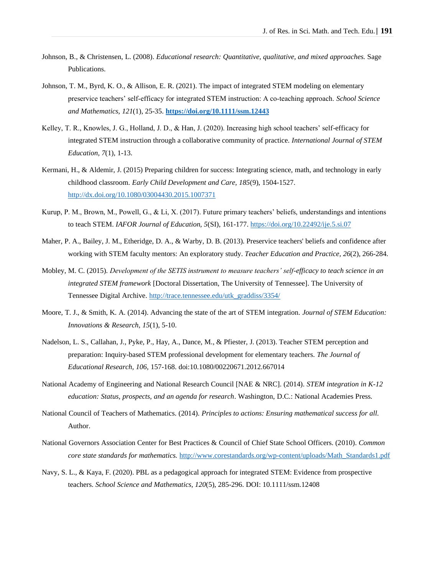- Johnson, B., & Christensen, L. (2008). *Educational research: Quantitative, qualitative, and mixed approaches.* Sage Publications.
- Johnson, T. M., Byrd, K. O., & Allison, E. R. (2021). The impact of integrated STEM modeling on elementary preservice teachers' self‐efficacy for integrated STEM instruction: A co‐teaching approach. *School Science and Mathematics*, *121*(1), 25-35. **<https://doi.org/10.1111/ssm.12443>**
- Kelley, T. R., Knowles, J. G., Holland, J. D., & Han, J. (2020). Increasing high school teachers' self-efficacy for integrated STEM instruction through a collaborative community of practice. *International Journal of STEM Education, 7*(1), 1-13.
- Kermani, H., & Aldemir, J. (2015) Preparing children for success: Integrating science, math, and technology in early childhood classroom. *Early Child Development and Care, 185*(9), 1504-1527. <http://dx.doi.org/10.1080/03004430.2015.1007371>
- Kurup, P. M., Brown, M., Powell, G., & Li, X. (2017). Future primary teachers' beliefs, understandings and intentions to teach STEM. *IAFOR Journal of Education, 5*(SI), 161-177[. https://doi.org/10.22492/ije.5.si.07](https://doi.org/10.22492/ije.5.si.07)
- Maher, P. A., Bailey, J. M., Etheridge, D. A., & Warby, D. B. (2013). Preservice teachers' beliefs and confidence after working with STEM faculty mentors: An exploratory study. *Teacher Education and Practice, 26*(2), 266-284.
- Mobley, M. C. (2015). *Development of the SETIS instrument to measure teachers' self-efficacy to teach science in an integrated STEM framework* [Doctoral Dissertation, The University of Tennessee]. The University of Tennessee Digital Archive. [http://trace.tennessee.edu/utk\\_graddiss/3354/](http://trace.tennessee.edu/utk_graddiss/3354/)
- Moore, T. J., & Smith, K. A. (2014). Advancing the state of the art of STEM integration. *Journal of STEM Education: Innovations & Research*, *15*(1), 5-10.
- Nadelson, L. S., Callahan, J., Pyke, P., Hay, A., Dance, M., & Pfiester, J. (2013). Teacher STEM perception and preparation: Inquiry-based STEM professional development for elementary teachers. *The Journal of Educational Research, 106,* 157-168. doi:10.1080/00220671.2012.667014
- National Academy of Engineering and National Research Council [NAE & NRC]. (2014). *STEM integration in K-12 education: Status, prospects, and an agenda for research*. Washington, D.C.: National Academies Press.
- National Council of Teachers of Mathematics. (2014). *Principles to actions: Ensuring mathematical success for all.*  Author.
- National Governors Association Center for Best Practices & Council of Chief State School Officers. (2010). *Common core state standards for mathematics.* [http://www.corestandards.org/wp-content/uploads/Math\\_Standards1.pdf](http://www.corestandards.org/wp-content/uploads/Math_Standards1.pdf)
- Navy, S. L., & Kaya, F. (2020). PBL as a pedagogical approach for integrated STEM: Evidence from prospective teachers. *School Science and Mathematics, 120*(5), 285-296. DOI: 10.1111/ssm.12408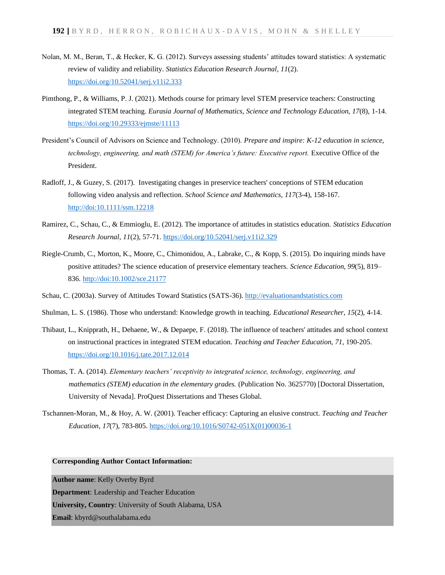- Nolan, M. M., Beran, T., & Hecker, K. G. (2012). Surveys assessing students' attitudes toward statistics: A systematic review of validity and reliability. *Statistics Education Research Journal*, *11*(2). <https://doi.org/10.52041/serj.v11i2.333>
- Pimthong, P., & Williams, P. J. (2021). Methods course for primary level STEM preservice teachers: Constructing integrated STEM teaching. *Eurasia Journal of Mathematics, Science and Technology Education, 17*(8), 1-14. <https://doi.org/10.29333/ejmste/11113>
- President's Council of Advisors on Science and Technology. (2010). *Prepare and inspire: K-12 education in science, technology, engineering, and math (STEM) for America's future: Executive report.* Executive Office of the President.
- Radloff, J., & Guzey, S. (2017). Investigating changes in preservice teachers' conceptions of STEM education following video analysis and reflection. *School Science and Mathematics*, *117*(3-4), 158-167. [http://doi:10.1111/ssm.12218](about:blank)
- Ramirez, C., Schau, C., & Emmioglu, E. (2012). The importance of attitudes in statistics education. *Statistics Education Research Journal*, *11*(2), 57-71. <https://doi.org/10.52041/serj.v11i2.329>
- Riegle-Crumb, C., Morton, K., Moore, C., Chimonidou, A., Labrake, C., & Kopp, S. (2015). Do inquiring minds have positive attitudes? The science education of preservice elementary teachers. *Science Education, 99*(5), 819– 836[. http://doi:10.1002/sce.21177](about:blank)
- Schau, C. (2003a). Survey of Attitudes Toward Statistics (SATS-36). [http://evaluationandstatistics.com](http://evaluationandstatistics.com/)
- Shulman, L. S. (1986). Those who understand: Knowledge growth in teaching. *Educational Researcher*, *15*(2), 4-14.
- Thibaut, L., Knipprath, H., Dehaene, W., & Depaepe, F. (2018). The influence of teachers' attitudes and school context on instructional practices in integrated STEM education. *Teaching and Teacher Education, 71*, 190-205. <https://doi.org/10.1016/j.tate.2017.12.014>
- Thomas, T. A. (2014). *Elementary teachers' receptivity to integrated science, technology, engineering, and mathematics (STEM) education in the elementary grades. (Publication No. 3625770) [Doctoral Dissertation,* University of Nevada]. ProQuest Dissertations and Theses Global.
- Tschannen-Moran, M., & Hoy, A. W. (2001). Teacher efficacy: Capturing an elusive construct. *Teaching and Teacher Education*, *17*(7), 783-805[. https://doi.org/10.1016/S0742-051X\(01\)00036-1](https://doi.org/10.1016/S0742-051X(01)00036-1)

#### **Corresponding Author Contact Information:**

**Author name**: Kelly Overby Byrd **Department**: Leadership and Teacher Education **University, Country**: University of South Alabama, USA **Email**: kbyrd@southalabama.edu